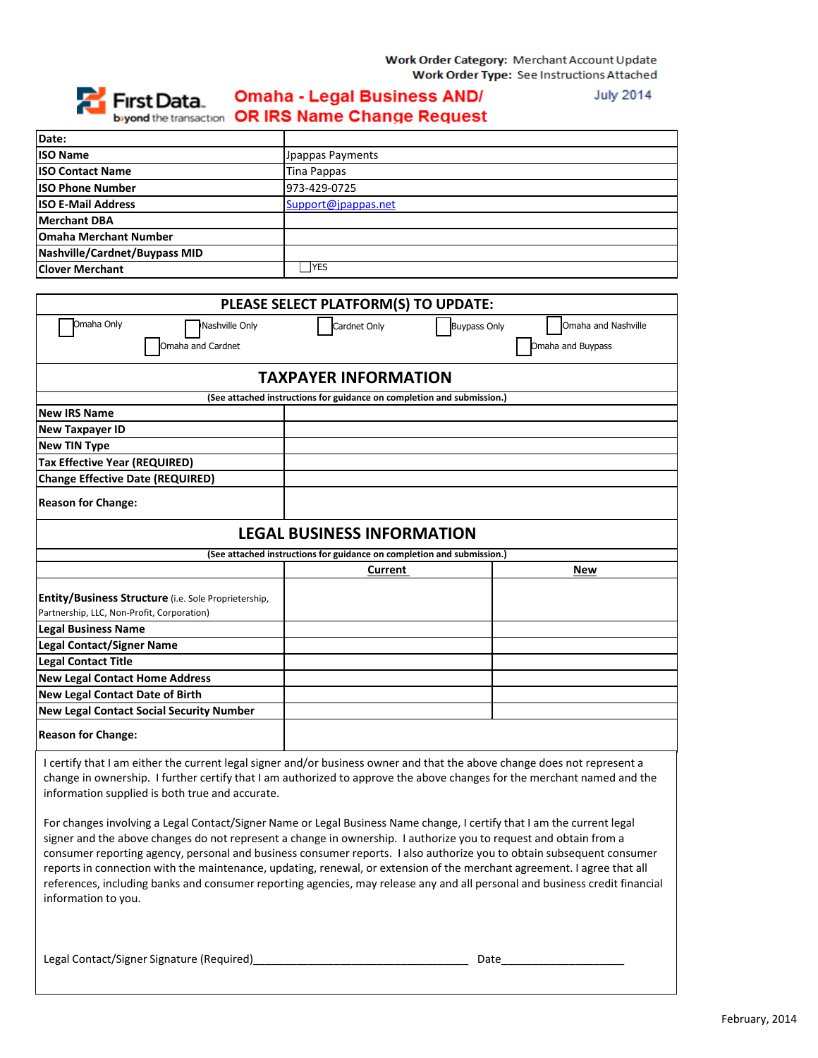First Data b>yon

## **Omaha - Legal Business AND/**

**July 2014** 

| ™uu                                                 |  |  |
|-----------------------------------------------------|--|--|
| d the transaction <b>OR IRS Name Change Request</b> |  |  |

| Date:                         |                     |
|-------------------------------|---------------------|
| <b>ISO Name</b>               | Jpappas Payments    |
| <b>ISO Contact Name</b>       | Tina Pappas         |
| <b>ISO Phone Number</b>       | 973-429-0725        |
| <b>ISO E-Mail Address</b>     | Support@jpappas.net |
| <b>Merchant DBA</b>           |                     |
| <b>Omaha Merchant Number</b>  |                     |
| Nashville/Cardnet/Buypass MID |                     |
| <b>Clover Merchant</b>        | <b>IYES</b>         |

| PLEASE SELECT PLATFORM(S) TO UPDATE:                                                                                                                                                                                                                                                                   |                                                                        |                                            |  |  |
|--------------------------------------------------------------------------------------------------------------------------------------------------------------------------------------------------------------------------------------------------------------------------------------------------------|------------------------------------------------------------------------|--------------------------------------------|--|--|
| Omaha Only<br>Nashville Only                                                                                                                                                                                                                                                                           | Cardnet Only                                                           | <b>Buypass Only</b><br>Omaha and Nashville |  |  |
| Omaha and Cardnet                                                                                                                                                                                                                                                                                      |                                                                        | Omaha and Buypass                          |  |  |
|                                                                                                                                                                                                                                                                                                        |                                                                        |                                            |  |  |
| <b>TAXPAYER INFORMATION</b>                                                                                                                                                                                                                                                                            |                                                                        |                                            |  |  |
| (See attached instructions for guidance on completion and submission.)                                                                                                                                                                                                                                 |                                                                        |                                            |  |  |
| <b>New IRS Name</b>                                                                                                                                                                                                                                                                                    |                                                                        |                                            |  |  |
| New Taxpayer ID                                                                                                                                                                                                                                                                                        |                                                                        |                                            |  |  |
| <b>New TIN Type</b>                                                                                                                                                                                                                                                                                    |                                                                        |                                            |  |  |
| <b>Tax Effective Year (REQUIRED)</b>                                                                                                                                                                                                                                                                   |                                                                        |                                            |  |  |
| <b>Change Effective Date (REQUIRED)</b>                                                                                                                                                                                                                                                                |                                                                        |                                            |  |  |
| <b>Reason for Change:</b>                                                                                                                                                                                                                                                                              |                                                                        |                                            |  |  |
|                                                                                                                                                                                                                                                                                                        | <b>LEGAL BUSINESS INFORMATION</b>                                      |                                            |  |  |
|                                                                                                                                                                                                                                                                                                        | (See attached instructions for guidance on completion and submission.) |                                            |  |  |
|                                                                                                                                                                                                                                                                                                        | <b>Current</b>                                                         | <b>New</b>                                 |  |  |
|                                                                                                                                                                                                                                                                                                        |                                                                        |                                            |  |  |
| Entity/Business Structure (i.e. Sole Proprietership,<br>Partnership, LLC, Non-Profit, Corporation)                                                                                                                                                                                                     |                                                                        |                                            |  |  |
| <b>Legal Business Name</b>                                                                                                                                                                                                                                                                             |                                                                        |                                            |  |  |
| <b>Legal Contact/Signer Name</b>                                                                                                                                                                                                                                                                       |                                                                        |                                            |  |  |
| <b>Legal Contact Title</b>                                                                                                                                                                                                                                                                             |                                                                        |                                            |  |  |
| <b>New Legal Contact Home Address</b>                                                                                                                                                                                                                                                                  |                                                                        |                                            |  |  |
| New Legal Contact Date of Birth                                                                                                                                                                                                                                                                        |                                                                        |                                            |  |  |
| <b>New Legal Contact Social Security Number</b>                                                                                                                                                                                                                                                        |                                                                        |                                            |  |  |
| <b>Reason for Change:</b>                                                                                                                                                                                                                                                                              |                                                                        |                                            |  |  |
| I certify that I am either the current legal signer and/or business owner and that the above change does not represent a<br>change in ownership. I further certify that I am authorized to approve the above changes for the merchant named and the<br>information supplied is both true and accurate. |                                                                        |                                            |  |  |

For changes involving a Legal Contact/Signer Name or Legal Business Name change, I certify that I am the current legal signer and the above changes do not represent a change in ownership. I authorize you to request and obtain from a consumer reporting agency, personal and business consumer reports. I also authorize you to obtain subsequent consumer reports in connection with the maintenance, updating, renewal, or extension of the merchant agreement. I agree that all references, including banks and consumer reporting agencies, may release any and all personal and business credit financial information to you.

Legal Contact/Signer Signature (Required)\_\_\_\_\_\_\_\_\_\_\_\_\_\_\_\_\_\_\_\_\_\_\_\_\_\_\_\_\_\_\_\_\_\_\_ Date\_\_\_\_\_\_\_\_\_\_\_\_\_\_\_\_\_\_\_\_